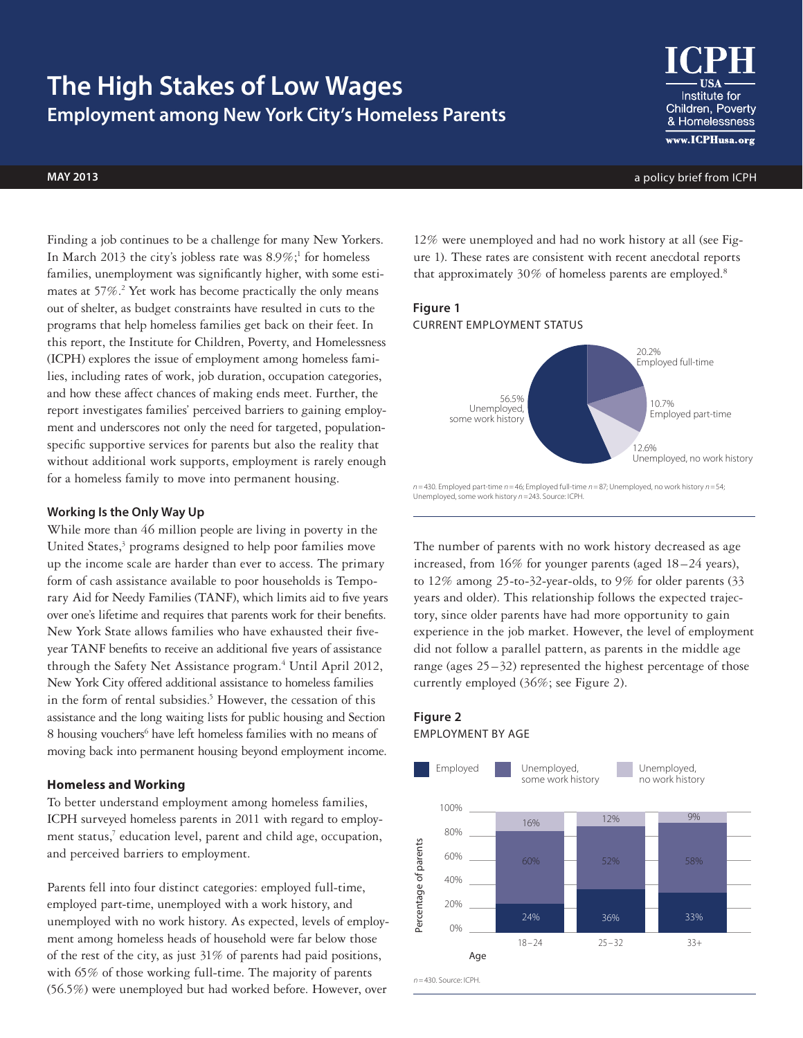# **The High Stakes of Low Wages Employment among New York City's Homeless Parents**



Institute for Children, Poverty & Homelessness www.ICPHusa.org

**may 2013** a policy brief from ICPH

Finding a job continues to be a challenge for many New Yorkers. In March 2013 the city's jobless rate was  $8.9\%$ ;<sup>1</sup> for homeless families, unemployment was significantly higher, with some estimates at 57%.<sup>2</sup> Yet work has become practically the only means out of shelter, as budget constraints have resulted in cuts to the programs that help homeless families get back on their feet. In this report, the Institute for Children, Poverty, and Homelessness (ICPH) explores the issue of employment among homeless families, including rates of work, job duration, occupation categories, and how these affect chances of making ends meet. Further, the report investigates families' perceived barriers to gaining employment and underscores not only the need for targeted, populationspecific supportive services for parents but also the reality that without additional work supports, employment is rarely enough for a homeless family to move into permanent housing.

## **Working Is the Only Way Up**

While more than 46 million people are living in poverty in the United States,<sup>3</sup> programs designed to help poor families move up the income scale are harder than ever to access. The primary form of cash assistance available to poor households is Temporary Aid for Needy Families (TANF), which limits aid to five years over one's lifetime and requires that parents work for their benefits. New York State allows families who have exhausted their fiveyear TANF benefits to receive an additional five years of assistance through the Safety Net Assistance program.<sup>4</sup> Until April 2012, New York City offered additional assistance to homeless families in the form of rental subsidies.<sup>5</sup> However, the cessation of this assistance and the long waiting lists for public housing and Section 8 housing vouchers<sup>6</sup> have left homeless families with no means of moving back into permanent housing beyond employment income.

#### **Homeless and Working**

To better understand employment among homeless families, ICPH surveyed homeless parents in 2011 with regard to employment status,<sup>7</sup> education level, parent and child age, occupation, and perceived barriers to employment.

Parents fell into four distinct categories: employed full-time, employed part-time, unemployed with a work history, and unemployed with no work history. As expected, levels of employment among homeless heads of household were far below those of the rest of the city, as just 31% of parents had paid positions, with 65% of those working full-time. The majority of parents (56.5%) were unemployed but had worked before. However, over

12% were unemployed and had no work history at all (see Figure 1). These rates are consistent with recent anecdotal reports that approximately 30% of homeless parents are employed.<sup>8</sup>

# **Figure 1** Current employment status



*n =*430. Employed part-time *n =*46; Employed full-time *n =*87; Unemployed, no work history *n =*54; Unemployed, some work history *n =*243. Source: ICPH.

The number of parents with no work history decreased as age increased, from 16% for younger parents (aged 18–24 years), to 12% among 25-to-32-year-olds, to 9% for older parents (33 years and older). This relationship follows the expected trajectory, since older parents have had more opportunity to gain experience in the job market. However, the level of employment did not follow a parallel pattern, as parents in the middle age range (ages  $25-32$ ) represented the highest percentage of those currently employed (36%; see Figure 2).

# **Figure 2** Employment by age

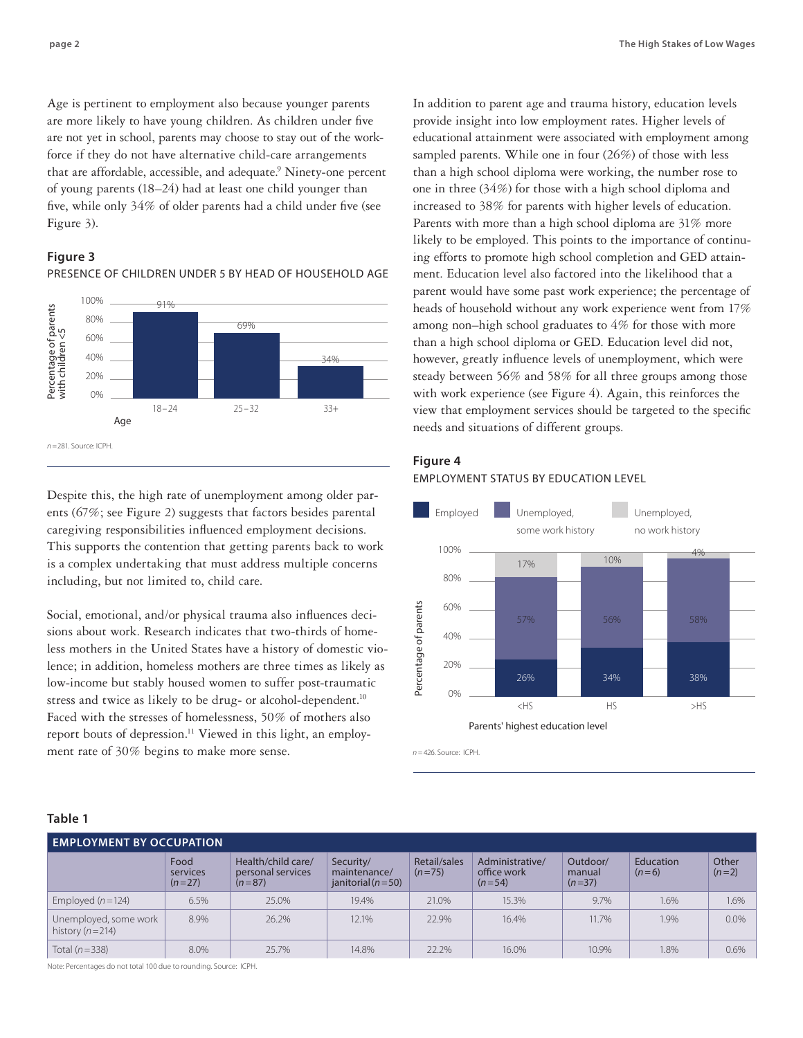Age is pertinent to employment also because younger parents are more likely to have young children. As children under five are not yet in school, parents may choose to stay out of the workforce if they do not have alternative child-care arrangements that are affordable, accessible, and adequate.<sup>9</sup> Ninety-one percent of young parents (18–24) had at least one child younger than five, while only 34% of older parents had a child under five (see Figure 3).

## **Figure 3**



Presence of children under 5 by head of household age

Despite this, the high rate of unemployment among older parents (67%; see Figure 2) suggests that factors besides parental caregiving responsibilities influenced employment decisions. This supports the contention that getting parents back to work is a complex undertaking that must address multiple concerns including, but not limited to, child care.

Social, emotional, and/or physical trauma also influences decisions about work. Research indicates that two-thirds of homeless mothers in the United States have a history of domestic violence; in addition, homeless mothers are three times as likely as low-income but stably housed women to suffer post-traumatic stress and twice as likely to be drug- or alcohol-dependent.<sup>10</sup> Faced with the stresses of homelessness, 50% of mothers also report bouts of depression.<sup>11</sup> Viewed in this light, an employment rate of 30% begins to make more sense.

In addition to parent age and trauma history, education levels provide insight into low employment rates. Higher levels of educational attainment were associated with employment among sampled parents. While one in four (26%) of those with less than a high school diploma were working, the number rose to one in three (34%) for those with a high school diploma and increased to 38% for parents with higher levels of education. Parents with more than a high school diploma are 31% more likely to be employed. This points to the importance of continuing efforts to promote high school completion and GED attainment. Education level also factored into the likelihood that a parent would have some past work experience; the percentage of heads of household without any work experience went from 17% among non–high school graduates to 4% for those with more than a high school diploma or GED. Education level did not, however, greatly influence levels of unemployment, which were steady between 56% and 58% for all three groups among those with work experience (see Figure 4). Again, this reinforces the view that employment services should be targeted to the specific needs and situations of different groups.

## **Figure 4**

#### Employment status by education level



*n =*426. Source: ICPH.

| . .<br>v<br>× | ۹ |
|---------------|---|
|---------------|---|

| <b>EMPLOYMENT BY OCCUPATION</b>                |                              |                                                     |                                                      |                          |                                            |                                |                      |                  |  |  |
|------------------------------------------------|------------------------------|-----------------------------------------------------|------------------------------------------------------|--------------------------|--------------------------------------------|--------------------------------|----------------------|------------------|--|--|
|                                                | Food<br>services<br>$(n=27)$ | Health/child care/<br>personal services<br>$(n=87)$ | Security/<br>maintenance/<br>janitorial ( $n = 50$ ) | Retail/sales<br>$(n=75)$ | Administrative/<br>office work<br>$(n=54)$ | Outdoor/<br>manual<br>$(n=37)$ | Education<br>$(n=6)$ | Other<br>$(n=2)$ |  |  |
| Employed $(n=124)$                             | 6.5%                         | 25.0%                                               | 19.4%                                                | 21.0%                    | 15.3%                                      | 9.7%                           | 1.6%                 | 1.6%             |  |  |
| Unemployed, some work<br>history ( $n = 214$ ) | 8.9%                         | 26.2%                                               | 12.1%                                                | 22.9%                    | 16.4%                                      | 11.7%                          | 1.9%                 | 0.0%             |  |  |
| Total $(n=338)$                                | 8.0%                         | 25.7%                                               | 14.8%                                                | 22.2%                    | 16.0%                                      | 10.9%                          | 1.8%                 | 0.6%             |  |  |

Note: Percentages do not total 100 due to rounding. Source: ICPH.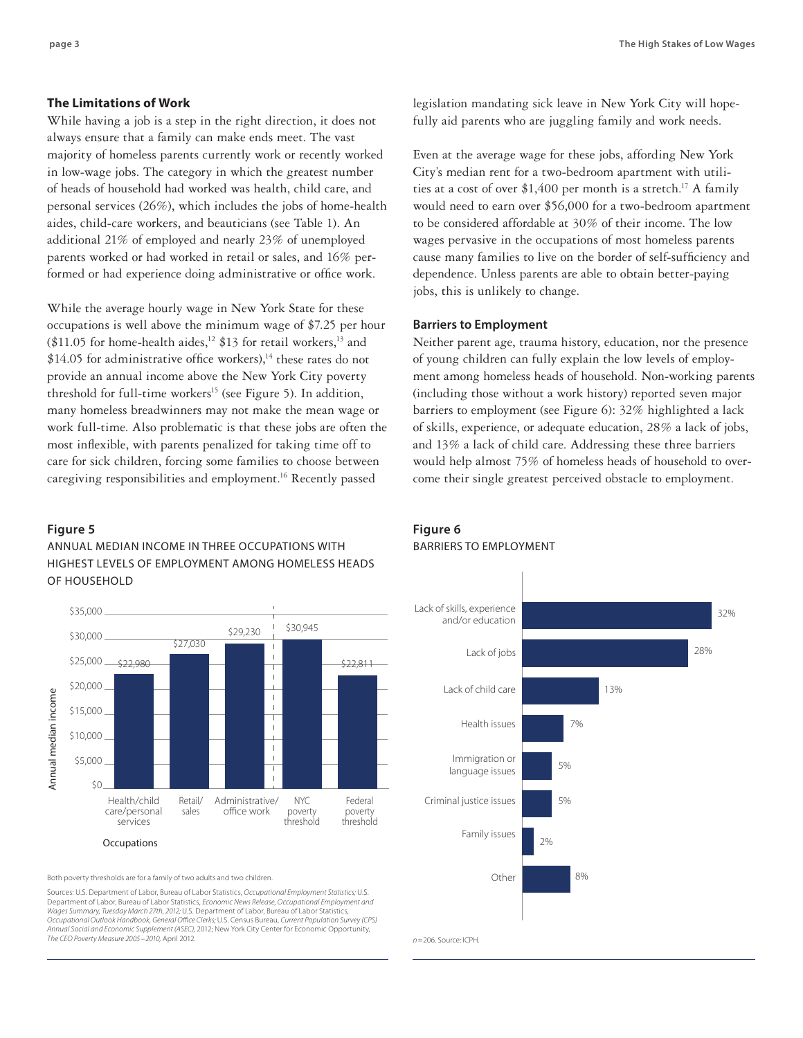### **The Limitations of Work**

While having a job is a step in the right direction, it does not always ensure that a family can make ends meet. The vast majority of homeless parents currently work or recently worked in low-wage jobs. The category in which the greatest number of heads of household had worked was health, child care, and personal services (26%), which includes the jobs of home-health aides, child-care workers, and beauticians (see Table 1). An additional 21% of employed and nearly 23% of unemployed parents worked or had worked in retail or sales, and 16% performed or had experience doing administrative or office work.

While the average hourly wage in New York State for these occupations is well above the minimum wage of \$7.25 per hour (\$11.05 for home-health aides,<sup>12</sup> \$13 for retail workers,<sup>13</sup> and  $$14.05$  for administrative office workers),<sup>14</sup> these rates do not provide an annual income above the New York City poverty threshold for full-time workers<sup>15</sup> (see Figure 5). In addition, many homeless breadwinners may not make the mean wage or work full-time. Also problematic is that these jobs are often the most inflexible, with parents penalized for taking time off to care for sick children, forcing some families to choose between caregiving responsibilities and employment.16 Recently passed

#### **Figure 5**

## Annual Median Income in three OCCUPATIONS with highest levels of employment among homeless heads of household



Both poverty thresholds are for a family of two adults and two children.

Sources: U.S. Department of Labor, Bureau of Labor Statistics, *Occupational Employment Statistics;* U.S. Department of Labor, Bureau of Labor Statistics, *Economic News Release, Occupational Employment and Wages Summary, Tuesday March 27th, 2012;* U.S. Department of Labor, Bureau of Labor Statistics, *Occupational Outlook Handbook, General Office Clerks;* U.S. Census Bureau, *Current Population Survey (CPS) Annual Social and Economic Supplement (ASEC),* 2012; New York City Center for Economic Opportunity, *The CEO Poverty Measure 2005 –2010,* April 2012.

legislation mandating sick leave in New York City will hopefully aid parents who are juggling family and work needs.

Even at the average wage for these jobs, affording New York City's median rent for a two-bedroom apartment with utilities at a cost of over  $$1,400$  per month is a stretch.<sup>17</sup> A family would need to earn over \$56,000 for a two-bedroom apartment to be considered affordable at 30% of their income. The low wages pervasive in the occupations of most homeless parents cause many families to live on the border of self-sufficiency and dependence. Unless parents are able to obtain better-paying jobs, this is unlikely to change.

#### **Barriers to Employment**

Neither parent age, trauma history, education, nor the presence of young children can fully explain the low levels of employment among homeless heads of household. Non-working parents (including those without a work history) reported seven major barriers to employment (see Figure 6): 32% highlighted a lack of skills, experience, or adequate education, 28% a lack of jobs, and 13% a lack of child care. Addressing these three barriers would help almost 75% of homeless heads of household to overcome their single greatest perceived obstacle to employment.

# **Figure 6** BARRIERS TO EMPLOYMENT